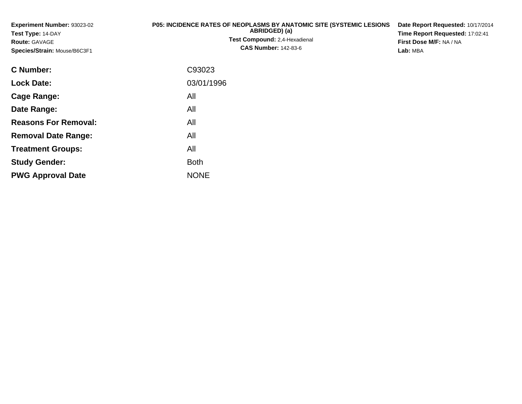**Experiment Number:** 93023-02**Test Type:** 14-DAY**Route:** GAVAGE **Species/Strain:** Mouse/B6C3F1**P05: INCIDENCE RATES OF NEOPLASMS BY ANATOMIC SITE (SYSTEMIC LESIONS ABRIDGED) (a) Test Compound:** 2,4-Hexadienal **CAS Number:** 142-83-6**Date Report Requested:** 10/17/2014**Time Report Requested:** 17:02:41**First Dose M/F:** NA / NA**Lab:** MBA**C Number:**C93023

| <b>Lock Date:</b>           | 03/01/1996  |
|-----------------------------|-------------|
| Cage Range:                 | All         |
| Date Range:                 | All         |
| <b>Reasons For Removal:</b> | All         |
| <b>Removal Date Range:</b>  | All         |
| <b>Treatment Groups:</b>    | All         |
| <b>Study Gender:</b>        | <b>Both</b> |
| <b>PWG Approval Date</b>    | <b>NONE</b> |
|                             |             |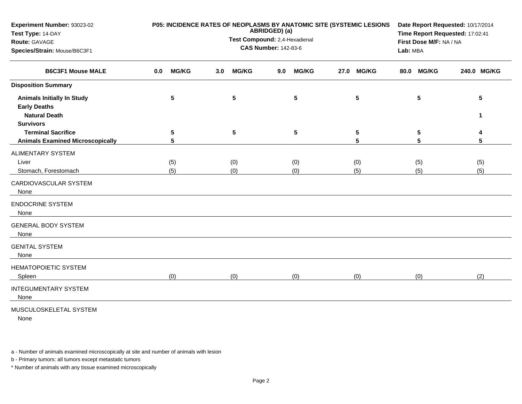| Experiment Number: 93023-02<br>Test Type: 14-DAY                                         |                     | P05: INCIDENCE RATES OF NEOPLASMS BY ANATOMIC SITE (SYSTEMIC LESIONS<br>ABRIDGED) (a) | Date Report Requested: 10/17/2014<br>Time Report Requested: 17:02:41 |                      |                      |             |
|------------------------------------------------------------------------------------------|---------------------|---------------------------------------------------------------------------------------|----------------------------------------------------------------------|----------------------|----------------------|-------------|
| Route: GAVAGE                                                                            |                     | Test Compound: 2,4-Hexadienal                                                         | First Dose M/F: NA / NA                                              |                      |                      |             |
| Species/Strain: Mouse/B6C3F1                                                             |                     | <b>CAS Number: 142-83-6</b>                                                           |                                                                      | Lab: MBA             |                      |             |
| <b>B6C3F1 Mouse MALE</b>                                                                 | <b>MG/KG</b><br>0.0 | <b>MG/KG</b><br>3.0 <sub>1</sub>                                                      | <b>MG/KG</b><br>9.0                                                  | <b>MG/KG</b><br>27.0 | <b>MG/KG</b><br>80.0 | 240.0 MG/KG |
| <b>Disposition Summary</b>                                                               |                     |                                                                                       |                                                                      |                      |                      |             |
| <b>Animals Initially In Study</b><br><b>Early Deaths</b><br><b>Natural Death</b>         | 5                   | $5\phantom{.0}$                                                                       | ${\bf 5}$                                                            | 5                    | 5                    | 5<br>1      |
| <b>Survivors</b><br><b>Terminal Sacrifice</b><br><b>Animals Examined Microscopically</b> | 5<br>$5\phantom{1}$ | 5                                                                                     | 5                                                                    | 5<br>5               | 5<br>5               | 5           |
| <b>ALIMENTARY SYSTEM</b>                                                                 |                     |                                                                                       |                                                                      |                      |                      |             |
| Liver<br>Stomach, Forestomach                                                            | (5)<br>(5)          | (0)<br>(0)                                                                            | (0)<br>(0)                                                           | (0)<br>(5)           | (5)<br>(5)           | (5)<br>(5)  |
| CARDIOVASCULAR SYSTEM<br>None                                                            |                     |                                                                                       |                                                                      |                      |                      |             |
| <b>ENDOCRINE SYSTEM</b><br>None                                                          |                     |                                                                                       |                                                                      |                      |                      |             |
| <b>GENERAL BODY SYSTEM</b><br>None                                                       |                     |                                                                                       |                                                                      |                      |                      |             |
| <b>GENITAL SYSTEM</b><br>None                                                            |                     |                                                                                       |                                                                      |                      |                      |             |
| <b>HEMATOPOIETIC SYSTEM</b><br>Spleen                                                    | (0)                 | (0)                                                                                   | (0)                                                                  | (0)                  | (0)                  | (2)         |
| <b>INTEGUMENTARY SYSTEM</b><br>None                                                      |                     |                                                                                       |                                                                      |                      |                      |             |
| MUSCULOSKELETAL SYSTEM                                                                   |                     |                                                                                       |                                                                      |                      |                      |             |

None

a - Number of animals examined microscopically at site and number of animals with lesion

b - Primary tumors: all tumors except metastatic tumors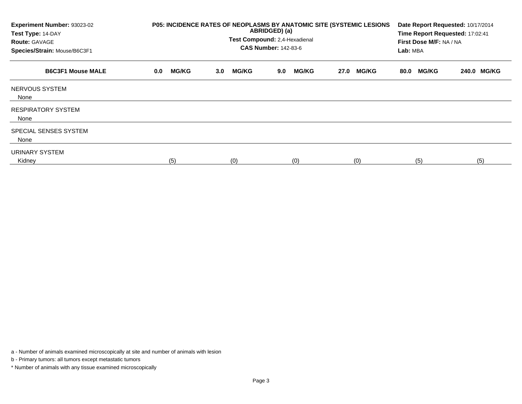| Experiment Number: 93023-02<br>Test Type: 14-DAY<br><b>Route: GAVAGE</b> | P05: INCIDENCE RATES OF NEOPLASMS BY ANATOMIC SITE (SYSTEMIC LESIONS<br>ABRIDGED) (a)<br>Test Compound: 2,4-Hexadienal<br><b>CAS Number: 142-83-6</b> |                     |                     |                      |                      |             |
|--------------------------------------------------------------------------|-------------------------------------------------------------------------------------------------------------------------------------------------------|---------------------|---------------------|----------------------|----------------------|-------------|
| Species/Strain: Mouse/B6C3F1                                             |                                                                                                                                                       |                     |                     |                      | Lab: MBA             |             |
| <b>B6C3F1 Mouse MALE</b>                                                 | <b>MG/KG</b><br>0.0                                                                                                                                   | <b>MG/KG</b><br>3.0 | <b>MG/KG</b><br>9.0 | <b>MG/KG</b><br>27.0 | <b>MG/KG</b><br>80.0 | 240.0 MG/KG |
| NERVOUS SYSTEM<br>None                                                   |                                                                                                                                                       |                     |                     |                      |                      |             |
| <b>RESPIRATORY SYSTEM</b><br>None                                        |                                                                                                                                                       |                     |                     |                      |                      |             |
| SPECIAL SENSES SYSTEM<br>None                                            |                                                                                                                                                       |                     |                     |                      |                      |             |
| URINARY SYSTEM<br>Kidney                                                 | (5)                                                                                                                                                   | (0)                 | (0)                 | (0)                  | (5)                  | (5)         |

a - Number of animals examined microscopically at site and number of animals with lesion

b - Primary tumors: all tumors except metastatic tumors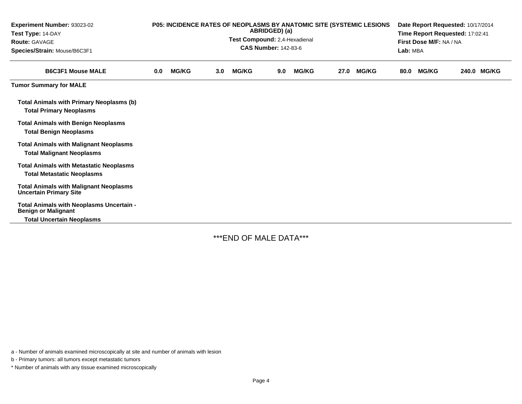| Experiment Number: 93023-02<br>Test Type: 14-DAY<br><b>Route: GAVAGE</b><br>Species/Strain: Mouse/B6C3F1   | <b>P05: INCIDENCE RATES OF NEOPLASMS BY ANATOMIC SITE (SYSTEMIC LESIONS)</b><br>ABRIDGED) (a)<br>Test Compound: 2,4-Hexadienal<br><b>CAS Number: 142-83-6</b> |              |                  |              |     |              |      | Date Report Requested: 10/17/2014<br>Time Report Requested: 17:02:41<br>First Dose M/F: NA / NA<br>Lab: MBA |      |              |  |             |
|------------------------------------------------------------------------------------------------------------|---------------------------------------------------------------------------------------------------------------------------------------------------------------|--------------|------------------|--------------|-----|--------------|------|-------------------------------------------------------------------------------------------------------------|------|--------------|--|-------------|
| <b>B6C3F1 Mouse MALE</b>                                                                                   | 0.0                                                                                                                                                           | <b>MG/KG</b> | 3.0 <sub>1</sub> | <b>MG/KG</b> | 9.0 | <b>MG/KG</b> | 27.0 | <b>MG/KG</b>                                                                                                | 80.0 | <b>MG/KG</b> |  | 240.0 MG/KG |
| <b>Tumor Summary for MALE</b>                                                                              |                                                                                                                                                               |              |                  |              |     |              |      |                                                                                                             |      |              |  |             |
| <b>Total Animals with Primary Neoplasms (b)</b><br><b>Total Primary Neoplasms</b>                          |                                                                                                                                                               |              |                  |              |     |              |      |                                                                                                             |      |              |  |             |
| <b>Total Animals with Benign Neoplasms</b><br><b>Total Benign Neoplasms</b>                                |                                                                                                                                                               |              |                  |              |     |              |      |                                                                                                             |      |              |  |             |
| <b>Total Animals with Malignant Neoplasms</b><br><b>Total Malignant Neoplasms</b>                          |                                                                                                                                                               |              |                  |              |     |              |      |                                                                                                             |      |              |  |             |
| <b>Total Animals with Metastatic Neoplasms</b><br><b>Total Metastatic Neoplasms</b>                        |                                                                                                                                                               |              |                  |              |     |              |      |                                                                                                             |      |              |  |             |
| <b>Total Animals with Malignant Neoplasms</b><br><b>Uncertain Primary Site</b>                             |                                                                                                                                                               |              |                  |              |     |              |      |                                                                                                             |      |              |  |             |
| Total Animals with Neoplasms Uncertain -<br><b>Benign or Malignant</b><br><b>Total Uncertain Neoplasms</b> |                                                                                                                                                               |              |                  |              |     |              |      |                                                                                                             |      |              |  |             |

\*\*\*END OF MALE DATA\*\*\*

a - Number of animals examined microscopically at site and number of animals with lesion

b - Primary tumors: all tumors except metastatic tumors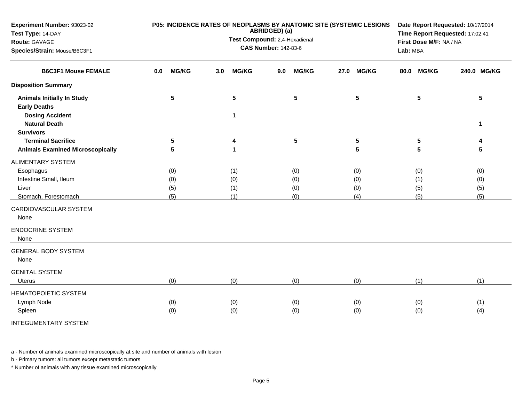| Experiment Number: 93023-02<br>Test Type: 14-DAY<br>Route: GAVAGE<br>Species/Strain: Mouse/B6C3F1                  |                          | P05: INCIDENCE RATES OF NEOPLASMS BY ANATOMIC SITE (SYSTEMIC LESIONS<br>ABRIDGED) (a)<br>Test Compound: 2,4-Hexadienal<br><b>CAS Number: 142-83-6</b> | Date Report Requested: 10/17/2014<br>Time Report Requested: 17:02:41<br>First Dose M/F: NA / NA<br>Lab: MBA |                          |                          |                          |
|--------------------------------------------------------------------------------------------------------------------|--------------------------|-------------------------------------------------------------------------------------------------------------------------------------------------------|-------------------------------------------------------------------------------------------------------------|--------------------------|--------------------------|--------------------------|
| <b>B6C3F1 Mouse FEMALE</b>                                                                                         | <b>MG/KG</b><br>0.0      | <b>MG/KG</b><br>3.0                                                                                                                                   | <b>MG/KG</b><br>9.0                                                                                         | <b>MG/KG</b><br>27.0     | <b>MG/KG</b><br>80.0     | 240.0 MG/KG              |
| <b>Disposition Summary</b>                                                                                         |                          |                                                                                                                                                       |                                                                                                             |                          |                          |                          |
| <b>Animals Initially In Study</b><br><b>Early Deaths</b><br><b>Dosing Accident</b>                                 | 5                        | 5<br>$\blacktriangleleft$                                                                                                                             | $5\phantom{1}$                                                                                              | 5                        | 5                        | 5                        |
| <b>Natural Death</b><br><b>Survivors</b>                                                                           |                          |                                                                                                                                                       |                                                                                                             |                          |                          | 1                        |
| <b>Terminal Sacrifice</b><br><b>Animals Examined Microscopically</b>                                               | 5<br>5                   | 4<br>1                                                                                                                                                | $\sqrt{5}$                                                                                                  | 5<br>5                   | 5<br>5                   | 4<br>5                   |
| ALIMENTARY SYSTEM<br>Esophagus<br>Intestine Small, Ileum<br>Liver<br>Stomach, Forestomach<br>CARDIOVASCULAR SYSTEM | (0)<br>(0)<br>(5)<br>(5) | (1)<br>(0)<br>(1)<br>(1)                                                                                                                              | (0)<br>(0)<br>(0)<br>(0)                                                                                    | (0)<br>(0)<br>(0)<br>(4) | (0)<br>(1)<br>(5)<br>(5) | (0)<br>(0)<br>(5)<br>(5) |
| None<br><b>ENDOCRINE SYSTEM</b><br>None                                                                            |                          |                                                                                                                                                       |                                                                                                             |                          |                          |                          |
| <b>GENERAL BODY SYSTEM</b><br>None                                                                                 |                          |                                                                                                                                                       |                                                                                                             |                          |                          |                          |
| <b>GENITAL SYSTEM</b><br><b>Uterus</b>                                                                             | (0)                      | (0)                                                                                                                                                   | (0)                                                                                                         | (0)                      | (1)                      | (1)                      |
| <b>HEMATOPOIETIC SYSTEM</b><br>Lymph Node<br>Spleen                                                                | (0)<br>(0)               | (0)<br>(0)                                                                                                                                            | (0)<br>(0)                                                                                                  | (0)<br>(0)               | (0)<br>(0)               | (1)<br>(4)               |

INTEGUMENTARY SYSTEM

a - Number of animals examined microscopically at site and number of animals with lesion

b - Primary tumors: all tumors except metastatic tumors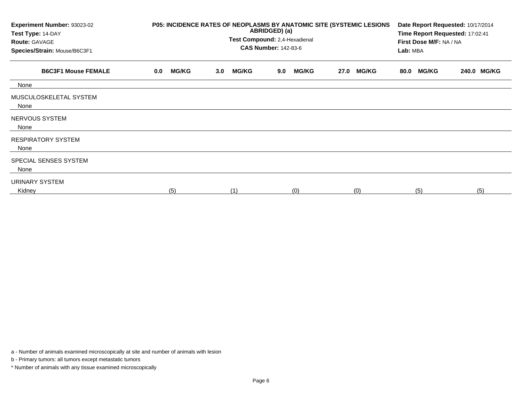| Experiment Number: 93023-02<br>Test Type: 14-DAY<br><b>Route: GAVAGE</b><br>Species/Strain: Mouse/B6C3F1 | P05: INCIDENCE RATES OF NEOPLASMS BY ANATOMIC SITE (SYSTEMIC LESIONS | Date Report Requested: 10/17/2014<br>Time Report Requested: 17:02:41<br>First Dose M/F: NA / NA<br>Lab: MBA |                     |                      |                      |             |
|----------------------------------------------------------------------------------------------------------|----------------------------------------------------------------------|-------------------------------------------------------------------------------------------------------------|---------------------|----------------------|----------------------|-------------|
| <b>B6C3F1 Mouse FEMALE</b>                                                                               | <b>MG/KG</b><br>0.0                                                  | <b>MG/KG</b><br>3.0 <sub>2</sub>                                                                            | <b>MG/KG</b><br>9.0 | <b>MG/KG</b><br>27.0 | <b>MG/KG</b><br>80.0 | 240.0 MG/KG |
| None                                                                                                     |                                                                      |                                                                                                             |                     |                      |                      |             |
| MUSCULOSKELETAL SYSTEM<br>None                                                                           |                                                                      |                                                                                                             |                     |                      |                      |             |
| NERVOUS SYSTEM<br>None                                                                                   |                                                                      |                                                                                                             |                     |                      |                      |             |
| <b>RESPIRATORY SYSTEM</b><br>None                                                                        |                                                                      |                                                                                                             |                     |                      |                      |             |
| SPECIAL SENSES SYSTEM<br>None                                                                            |                                                                      |                                                                                                             |                     |                      |                      |             |
| URINARY SYSTEM<br>Kidney                                                                                 | (5)                                                                  | (1)                                                                                                         | (0)                 | (0)                  | (5)                  | (5)         |

a - Number of animals examined microscopically at site and number of animals with lesion

b - Primary tumors: all tumors except metastatic tumors